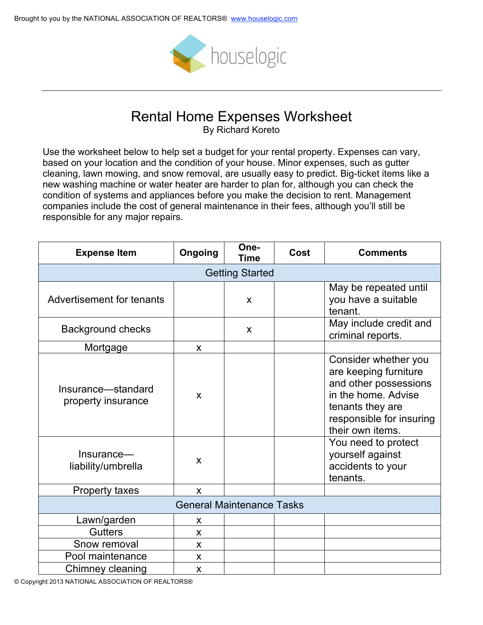

## Rental Home Expenses Worksheet

By Richard Koreto

Use the worksheet below to help set a budget for your rental property. Expenses can vary, based on your location and the condition of your house. Minor expenses, such as gutter cleaning, lawn mowing, and snow removal, are usually easy to predict. Big-ticket items like a new washing machine or water heater are harder to plan for, although you can check the condition of systems and appliances before you make the decision to rent. Management companies include the cost of general maintenance in their fees, although you'll still be responsible for any major repairs.

| <b>Expense Item</b>                                                          | Ongoing | One-<br>Time | Cost | <b>Comments</b>                                                                                                                                                                                                                               |  |  |  |
|------------------------------------------------------------------------------|---------|--------------|------|-----------------------------------------------------------------------------------------------------------------------------------------------------------------------------------------------------------------------------------------------|--|--|--|
| <b>Getting Started</b>                                                       |         |              |      |                                                                                                                                                                                                                                               |  |  |  |
| Advertisement for tenants                                                    |         | $\mathsf{x}$ |      | May be repeated until<br>you have a suitable<br>tenant.                                                                                                                                                                                       |  |  |  |
| <b>Background checks</b>                                                     |         | $\mathsf{x}$ |      | May include credit and<br>criminal reports.                                                                                                                                                                                                   |  |  |  |
| Mortgage                                                                     | X       |              |      |                                                                                                                                                                                                                                               |  |  |  |
| Insurance-standard<br>property insurance<br>Insurance-<br>liability/umbrella | X<br>X  |              |      | Consider whether you<br>are keeping furniture<br>and other possessions<br>in the home. Advise<br>tenants they are<br>responsible for insuring<br>their own items.<br>You need to protect<br>yourself against<br>accidents to your<br>tenants. |  |  |  |
| <b>Property taxes</b>                                                        | X       |              |      |                                                                                                                                                                                                                                               |  |  |  |
| <b>General Maintenance Tasks</b>                                             |         |              |      |                                                                                                                                                                                                                                               |  |  |  |
| Lawn/garden                                                                  | X       |              |      |                                                                                                                                                                                                                                               |  |  |  |
| <b>Gutters</b>                                                               | X       |              |      |                                                                                                                                                                                                                                               |  |  |  |
| Snow removal                                                                 | X       |              |      |                                                                                                                                                                                                                                               |  |  |  |
| Pool maintenance                                                             | X       |              |      |                                                                                                                                                                                                                                               |  |  |  |
| Chimney cleaning                                                             | X       |              |      |                                                                                                                                                                                                                                               |  |  |  |

© Copyright 2013 NATIONAL ASSOCIATION OF REALTORS®